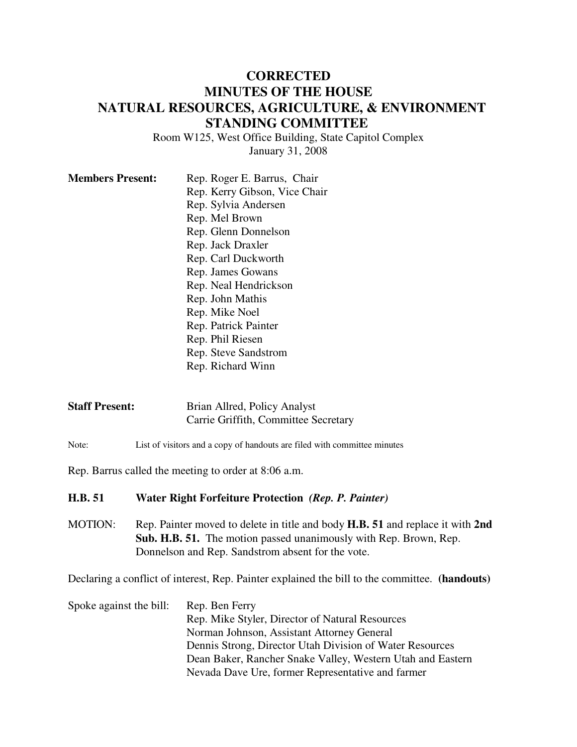## **CORRECTED MINUTES OF THE HOUSE NATURAL RESOURCES, AGRICULTURE, & ENVIRONMENT STANDING COMMITTEE**

Room W125, West Office Building, State Capitol Complex January 31, 2008

| <b>Members Present:</b> | Rep. Roger E. Barrus, Chair   |
|-------------------------|-------------------------------|
|                         | Rep. Kerry Gibson, Vice Chair |
|                         | Rep. Sylvia Andersen          |
|                         | Rep. Mel Brown                |
|                         | Rep. Glenn Donnelson          |
|                         | Rep. Jack Draxler             |
|                         | Rep. Carl Duckworth           |
|                         | Rep. James Gowans             |
|                         | Rep. Neal Hendrickson         |
|                         | Rep. John Mathis              |
|                         | Rep. Mike Noel                |
|                         | Rep. Patrick Painter          |
|                         | Rep. Phil Riesen              |
|                         | Rep. Steve Sandstrom          |
|                         | Rep. Richard Winn             |

| <b>Staff Present:</b> | Brian Allred, Policy Analyst         |
|-----------------------|--------------------------------------|
|                       | Carrie Griffith, Committee Secretary |

Note: List of visitors and a copy of handouts are filed with committee minutes

Rep. Barrus called the meeting to order at 8:06 a.m.

## **H.B. 51 Water Right Forfeiture Protection** *(Rep. P. Painter)*

MOTION: Rep. Painter moved to delete in title and body **H.B. 51** and replace it with **2nd Sub. H.B. 51.** The motion passed unanimously with Rep. Brown, Rep. Donnelson and Rep. Sandstrom absent for the vote.

Declaring a conflict of interest, Rep. Painter explained the bill to the committee. **(handouts)**

| Spoke against the bill: | Rep. Ben Ferry                                             |
|-------------------------|------------------------------------------------------------|
|                         | Rep. Mike Styler, Director of Natural Resources            |
|                         | Norman Johnson, Assistant Attorney General                 |
|                         | Dennis Strong, Director Utah Division of Water Resources   |
|                         | Dean Baker, Rancher Snake Valley, Western Utah and Eastern |
|                         | Nevada Dave Ure, former Representative and farmer          |